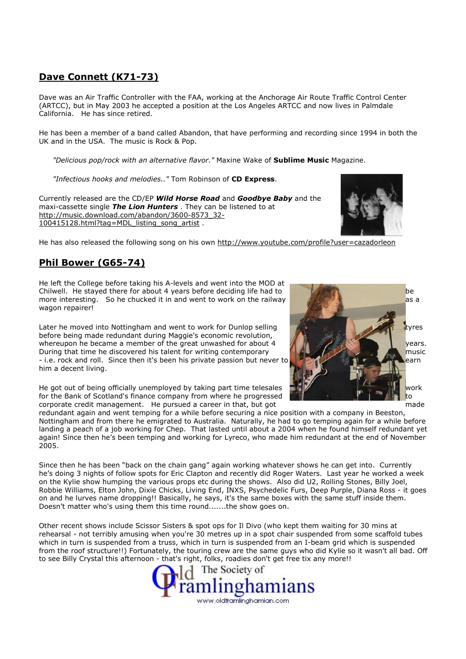## Dave Connett (K71-73)

Dave was an Air Traffic Controller with the FAA, working at the Anchorage Air Route Traffic Control Center (ARTCC), but in May 2003 he accepted a position at the Los Angeles ARTCC and now lives in Palmdale California. He has since retired.

He has been a member of a band called Abandon, that have performing and recording since 1994 in both the UK and in the USA. The music is Rock & Pop.

"Delicious pop/rock with an alternative flavor." Maxine Wake of Sublime Music Magazine.

"Infectious hooks and melodies.." Tom Robinson of CD Express.

Currently released are the CD/EP Wild Horse Road and Goodbye Baby and the maxi-cassette single *The Lion Hunters* . They can be listened to at http://music.download.com/abandon/3600-8573\_32- 100415128.html?tag=MDL\_listing\_song\_artist .

He has also released the following song on his own http://www.youtube.com/profile?user=cazadorleon

## Phil Bower (G65-74)

He left the College before taking his A-levels and went into the MOD at Chilwell. He stayed there for about 4 years before deciding life had to be before the before the before the be more interesting. So he chucked it in and went to work on the railway as a same of the railway as a wagon repairer!

Later he moved into Nottingham and went to work for Dunlop selling the state of the state of tyres before being made redundant during Maggie's economic revolution, whereupon he became a member of the great unwashed for about 4 During that time he discovered his talent for writing contemporary music - i.e. rock and roll. Since then it's been his private passion but never to **the state of the seam** earn him a decent living.

He got out of being officially unemployed by taking part time telesales  $\mathbb{N}$ for the Bank of Scotland's finance company from where he progressed **to the contract of the state of the state** to corporate credit management. He pursued a career in that, but got manufactured made

redundant again and went temping for a while before securing a nice position with a company in Beeston, Nottingham and from there he emigrated to Australia. Naturally, he had to go temping again for a while before landing a peach of a job working for Chep. That lasted until about a 2004 when he found himself redundant yet again! Since then he's been temping and working for Lyreco, who made him redundant at the end of November 2005.

Since then he has been "back on the chain gang" again working whatever shows he can get into. Currently he's doing 3 nights of follow spots for Eric Clapton and recently did Roger Waters. Last year he worked a week on the Kylie show humping the various props etc during the shows. Also did U2, Rolling Stones, Billy Joel, Robbie Williams, Elton John, Dixie Chicks, Living End, INXS, Psychedelic Furs, Deep Purple, Diana Ross - it goes on and he lurves name dropping!! Basically, he says, it's the same boxes with the same stuff inside them. Doesn't matter who's using them this time round.......the show goes on.

Other recent shows include Scissor Sisters & spot ops for Il Divo (who kept them waiting for 30 mins at rehearsal - not terribly amusing when you're 30 metres up in a spot chair suspended from some scaffold tubes which in turn is suspended from a truss, which in turn is suspended from an I-beam grid which is suspended from the roof structure!!) Fortunately, the touring crew are the same guys who did Kylie so it wasn't all bad. Off to see Billy Crystal this afternoon - that's right, folks, roadies don't get free tix any more!!





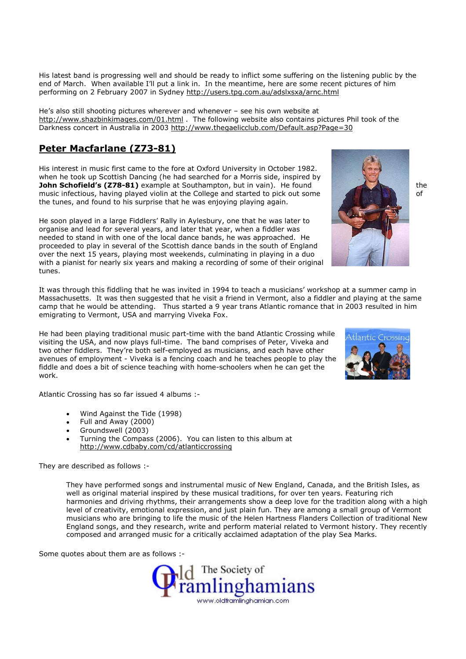His latest band is progressing well and should be ready to inflict some suffering on the listening public by the end of March. When available I'll put a link in. In the meantime, here are some recent pictures of him performing on 2 February 2007 in Sydney http://users.tpg.com.au/adslxsxa/arnc.html

He's also still shooting pictures wherever and whenever – see his own website at http://www.shazbinkimages.com/01.html . The following website also contains pictures Phil took of the Darkness concert in Australia in 2003 http://www.thegaelicclub.com/Default.asp?Page=30

## Peter Macfarlane (Z73-81)

His interest in music first came to the fore at Oxford University in October 1982. when he took up Scottish Dancing (he had searched for a Morris side, inspired by John Schofield's (Z78-81) example at Southampton, but in vain). He found the the the music infectious, having played violin at the College and started to pick out some the tunes, and found to his surprise that he was enjoying playing again.

He soon played in a large Fiddlers' Rally in Aylesbury, one that he was later to organise and lead for several years, and later that year, when a fiddler was needed to stand in with one of the local dance bands, he was approached. He proceeded to play in several of the Scottish dance bands in the south of England over the next 15 years, playing most weekends, culminating in playing in a duo with a pianist for nearly six years and making a recording of some of their original tunes.

It was through this fiddling that he was invited in 1994 to teach a musicians' workshop at a summer camp in Massachusetts. It was then suggested that he visit a friend in Vermont, also a fiddler and playing at the same camp that he would be attending. Thus started a 9 year trans Atlantic romance that in 2003 resulted in him emigrating to Vermont, USA and marrying Viveka Fox.

He had been playing traditional music part-time with the band Atlantic Crossing while visiting the USA, and now plays full-time. The band comprises of Peter, Viveka and two other fiddlers. They're both self-employed as musicians, and each have other avenues of employment - Viveka is a fencing coach and he teaches people to play the fiddle and does a bit of science teaching with home-schoolers when he can get the work.

Atlantic Crossing has so far issued 4 albums :-

- Wind Against the Tide (1998)
- Full and Away (2000)
- Groundswell (2003)
- Turning the Compass (2006). You can listen to this album at http://www.cdbaby.com/cd/atlanticcrossing

They are described as follows :-

They have performed songs and instrumental music of New England, Canada, and the British Isles, as well as original material inspired by these musical traditions, for over ten years. Featuring rich harmonies and driving rhythms, their arrangements show a deep love for the tradition along with a high level of creativity, emotional expression, and just plain fun. They are among a small group of Vermont musicians who are bringing to life the music of the Helen Hartness Flanders Collection of traditional New England songs, and they research, write and perform material related to Vermont history. They recently composed and arranged music for a critically acclaimed adaptation of the play Sea Marks.

Some quotes about them are as follows :-





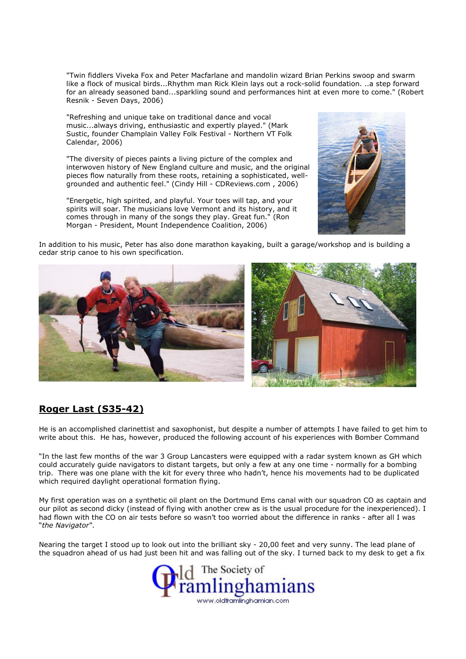"Twin fiddlers Viveka Fox and Peter Macfarlane and mandolin wizard Brian Perkins swoop and swarm like a flock of musical birds...Rhythm man Rick Klein lays out a rock-solid foundation. ..a step forward for an already seasoned band...sparkling sound and performances hint at even more to come." (Robert Resnik - Seven Days, 2006)

"Refreshing and unique take on traditional dance and vocal music...always driving, enthusiastic and expertly played." (Mark Sustic, founder Champlain Valley Folk Festival - Northern VT Folk Calendar, 2006)

"The diversity of pieces paints a living picture of the complex and interwoven history of New England culture and music, and the original pieces flow naturally from these roots, retaining a sophisticated, wellgrounded and authentic feel." (Cindy Hill - CDReviews.com , 2006)

"Energetic, high spirited, and playful. Your toes will tap, and your spirits will soar. The musicians love Vermont and its history, and it comes through in many of the songs they play. Great fun." (Ron Morgan - President, Mount Independence Coalition, 2006)



In addition to his music, Peter has also done marathon kayaking, built a garage/workshop and is building a cedar strip canoe to his own specification.



## Roger Last (S35-42)

He is an accomplished clarinettist and saxophonist, but despite a number of attempts I have failed to get him to write about this. He has, however, produced the following account of his experiences with Bomber Command

"In the last few months of the war 3 Group Lancasters were equipped with a radar system known as GH which could accurately guide navigators to distant targets, but only a few at any one time - normally for a bombing trip. There was one plane with the kit for every three who hadn't, hence his movements had to be duplicated which required daylight operational formation flying.

My first operation was on a synthetic oil plant on the Dortmund Ems canal with our squadron CO as captain and our pilot as second dicky (instead of flying with another crew as is the usual procedure for the inexperienced). I had flown with the CO on air tests before so wasn't too worried about the difference in ranks - after all I was "the Navigator".

Nearing the target I stood up to look out into the brilliant sky - 20,00 feet and very sunny. The lead plane of the squadron ahead of us had just been hit and was falling out of the sky. I turned back to my desk to get a fix